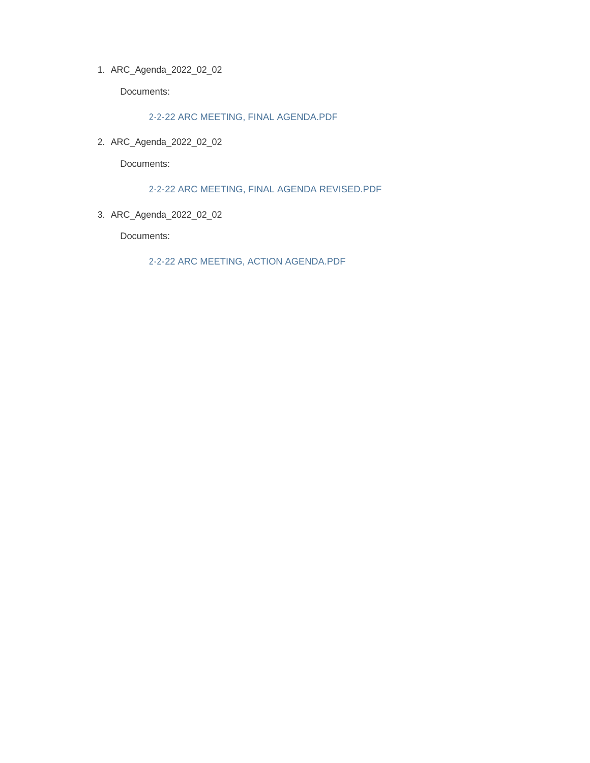ARC\_Agenda\_2022\_02\_02 1.

Documents:

2-2-22 ARC MEETING, FINAL AGENDA.PDF

ARC\_Agenda\_2022\_02\_02 2.

Documents:

2-2-22 ARC MEETING, FINAL AGENDA REVISED.PDF

ARC\_Agenda\_2022\_02\_02 3.

Documents:

2-2-22 ARC MEETING, ACTION AGENDA.PDF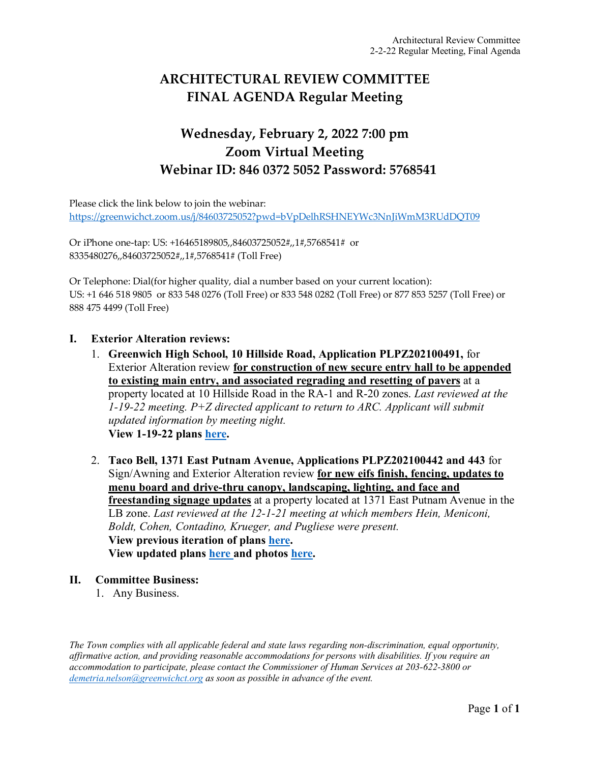# **ARCHITECTURAL REVIEW COMMITTEE FINAL AGENDA Regular Meeting**

## **Wednesday, February 2, 2022 7:00 pm Zoom Virtual Meeting Webinar ID: 846 0372 5052 Password: 5768541**

Please click the link below to join the webinar: <https://greenwichct.zoom.us/j/84603725052?pwd=bVpDelhRSHNEYWc3NnJiWmM3RUdDQT09>

Or iPhone one-tap: US: +16465189805,,84603725052#,,1#,5768541# or 8335480276,,84603725052#,,1#,5768541# (Toll Free)

Or Telephone: Dial(for higher quality, dial a number based on your current location): US: +1 646 518 9805 or 833 548 0276 (Toll Free) or 833 548 0282 (Toll Free) or 877 853 5257 (Toll Free) or 888 475 4499 (Toll Free)

### **I. Exterior Alteration reviews:**

- 1. **Greenwich High School, 10 Hillside Road, Application PLPZ202100491,** for Exterior Alteration review **for construction of new secure entry hall to be appended to existing main entry, and associated regrading and resetting of pavers** at a property located at 10 Hillside Road in the RA-1 and R-20 zones. *Last reviewed at the 1-19-22 meeting. P+Z directed applicant to return to ARC. Applicant will submit updated information by meeting night.*  **View 1-19-22 plans [here.](https://www.greenwichct.gov/DocumentCenter/View/27835/ARC_andPZ-presentation-1-19-22-GHS-security-entrance)**
- 2. **Taco Bell, 1371 East Putnam Avenue, Applications PLPZ202100442 and 443** for Sign/Awning and Exterior Alteration review **for new eifs finish, fencing, updates to menu board and drive-thru canopy, landscaping, lighting, and face and freestanding signage updates** at a property located at 1371 East Putnam Avenue in the LB zone. *Last reviewed at the 12-1-21 meeting at which members Hein, Meniconi, Boldt, Cohen, Contadino, Krueger, and Pugliese were present.* **View previous iteration of plans [here.](https://www.greenwichct.gov/DocumentCenter/View/25970/TB-1371-EPA-UPDATED-plans-PLPZ202100442-and-443) View updated plans [here](https://www.greenwichct.gov/DocumentCenter/View/27831/Taco-Bell-PLPZ202100442-and-443-27-Jan-2022-Combined-set-) and photos [here.](https://www.greenwichct.gov/DocumentCenter/View/27832/Taco-Bell-PLPZ202100442-and-443-night-photos-12-20-2021)**

#### **II. Committee Business:**

1. Any Business.

*The Town complies with all applicable federal and state laws regarding non-discrimination, equal opportunity, affirmative action, and providing reasonable accommodations for persons with disabilities. If you require an accommodation to participate, please contact the Commissioner of Human Services at 203-622-3800 or [demetria.nelson@greenwichct.org](mailto:demetria.nelson@greenwichct.org) as soon as possible in advance of the event.*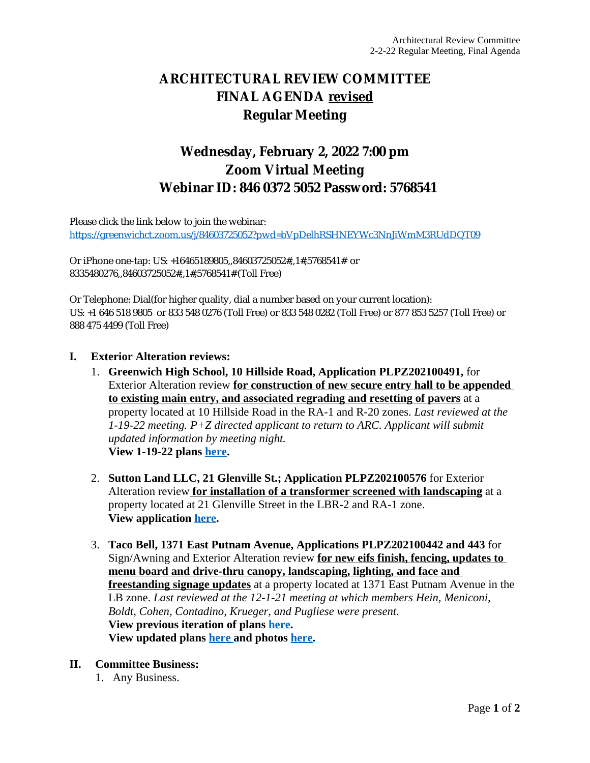## **ARCHITECTURAL REVIEW COMMITTEE FINAL AGENDA revised Regular Meeting**

## **Wednesday, February 2, 2022 7:00 pm Zoom Virtual Meeting Webinar ID: 846 0372 5052 Password: 5768541**

Please click the link below to join the webinar: <https://greenwichct.zoom.us/j/84603725052?pwd=bVpDelhRSHNEYWc3NnJiWmM3RUdDQT09>

Or iPhone one-tap: US: +16465189805,,84603725052#,,1#,5768541# or 8335480276,,84603725052#,,1#,5768541# (Toll Free)

Or Telephone: Dial(for higher quality, dial a number based on your current location): US: +1 646 518 9805 or 833 548 0276 (Toll Free) or 833 548 0282 (Toll Free) or 877 853 5257 (Toll Free) or 888 475 4499 (Toll Free)

#### **I. Exterior Alteration reviews:**

- 1. **Greenwich High School, 10 Hillside Road, Application PLPZ202100491,** for Exterior Alteration review **for construction of new secure entry hall to be appended to existing main entry, and associated regrading and resetting of pavers** at a property located at 10 Hillside Road in the RA-1 and R-20 zones. *Last reviewed at the 1-19-22 meeting. P+Z directed applicant to return to ARC. Applicant will submit updated information by meeting night.*  **View 1-19-22 plans [here](https://www.greenwichct.gov/DocumentCenter/View/27835/ARC_andPZ-presentation-1-19-22-GHS-security-entrance).**
- 2. **Sutton Land LLC, 21 Glenville St.; Application PLPZ202100576** for Exterior Alteration review **for installation of a transformer screened with landscaping** at a property located at 21 Glenville Street in the LBR-2 and RA-1 zone. **View application [here](https://www.greenwichct.gov/DocumentCenter/View/27880/21-Glenville-St-transformer-application).**
- 3. **Taco Bell, 1371 East Putnam Avenue, Applications PLPZ202100442 and 443** for Sign/Awning and Exterior Alteration review **for new eifs finish, fencing, updates to menu board and drive-thru canopy, landscaping, lighting, and face and freestanding signage updates** at a property located at 1371 East Putnam Avenue in the LB zone. *Last reviewed at the 12-1-21 meeting at which members Hein, Meniconi, Boldt, Cohen, Contadino, Krueger, and Pugliese were present.* **View previous iteration of plans [here](https://www.greenwichct.gov/DocumentCenter/View/25970/TB-1371-EPA-UPDATED-plans-PLPZ202100442-and-443). View updated plans [here and photos](https://www.greenwichct.gov/DocumentCenter/View/27831/Taco-Bell-PLPZ202100442-and-443-27-Jan-2022-Combined-set-) [here.](https://www.greenwichct.gov/DocumentCenter/View/27832/Taco-Bell-PLPZ202100442-and-443-night-photos-12-20-2021)**

#### **II. Committee Business:**

1. Any Business.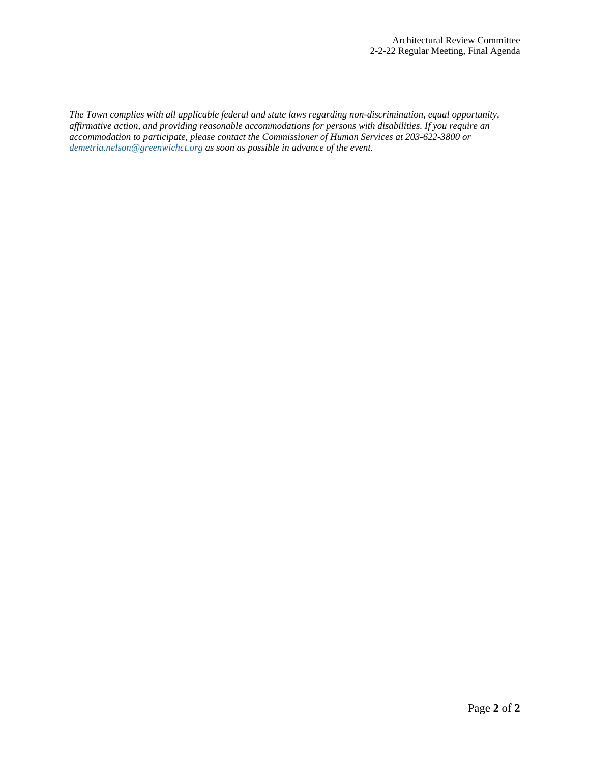*The Town complies with all applicable federal and state laws regarding non-discrimination, equal opportunity, affirmative action, and providing reasonable accommodations for persons with disabilities. If you require an accommodation to participate, please contact the Commissioner of Human Services at 203-622-3800 or [demetria.nelson@greenwichct.org](mailto:demetria.nelson@greenwichct.org) as soon as possible in advance of the event.*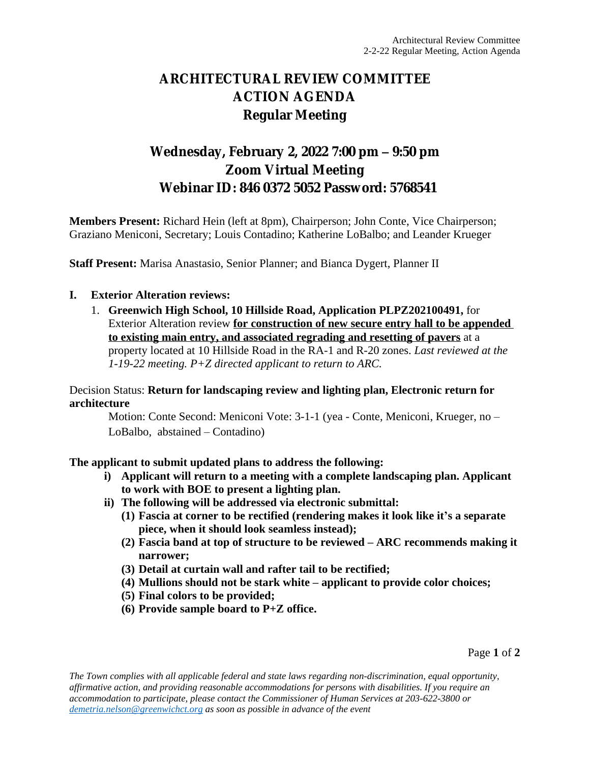# **ARCHITECTURAL REVIEW COMMITTEE ACTION AGENDA Regular Meeting**

# **Wednesday, February 2, 2022 7:00 pm – 9:50 pm Zoom Virtual Meeting Webinar ID: 846 0372 5052 Password: 5768541**

**Members Present:** Richard Hein (left at 8pm), Chairperson; John Conte, Vice Chairperson; Graziano Meniconi, Secretary; Louis Contadino; Katherine LoBalbo; and Leander Krueger

**Staff Present:** Marisa Anastasio, Senior Planner; and Bianca Dygert, Planner II

### **I. Exterior Alteration reviews:**

1. **Greenwich High School, 10 Hillside Road, Application PLPZ202100491,** for Exterior Alteration review **for construction of new secure entry hall to be appended to existing main entry, and associated regrading and resetting of pavers** at a property located at 10 Hillside Road in the RA-1 and R-20 zones. *Last reviewed at the 1-19-22 meeting. P+Z directed applicant to return to ARC.* 

Decision Status: **Return for landscaping review and lighting plan, Electronic return for architecture**

Motion: Conte Second: Meniconi Vote: 3-1-1 (yea - Conte, Meniconi, Krueger, no – LoBalbo, abstained – Contadino)

**The applicant to submit updated plans to address the following:**

- **i) Applicant will return to a meeting with a complete landscaping plan. Applicant to work with BOE to present a lighting plan.**
- **ii) The following will be addressed via electronic submittal:**
	- **(1) Fascia at corner to be rectified (rendering makes it look like it's a separate piece, when it should look seamless instead);**
	- **(2) Fascia band at top of structure to be reviewed – ARC recommends making it narrower;**
	- **(3) Detail at curtain wall and rafter tail to be rectified;**
	- **(4) Mullions should not be stark white – applicant to provide color choices;**
	- **(5) Final colors to be provided;**
	- **(6) Provide sample board to P+Z office.**

Page **1** of **2**

*The Town complies with all applicable federal and state laws regarding non-discrimination, equal opportunity, affirmative action, and providing reasonable accommodations for persons with disabilities. If you require an accommodation to participate, please contact the Commissioner of Human Services at 203-622-3800 or [demetria.nelson@greenwichct.org](mailto:demetria.nelson@greenwichct.org) as soon as possible in advance of the event*